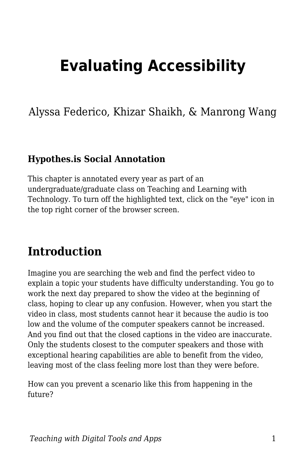# **Evaluating Accessibility**

Alyssa Federico, Khizar Shaikh, & Manrong Wang

#### **Hypothes.is Social Annotation**

This chapter is annotated every year as part of an undergraduate/graduate class on Teaching and Learning with Technology. To turn off the highlighted text, click on the "eye" icon in the top right corner of the browser screen.

## **Introduction**

Imagine you are searching the web and find the perfect video to explain a topic your students have difficulty understanding. You go to work the next day prepared to show the video at the beginning of class, hoping to clear up any confusion. However, when you start the video in class, most students cannot hear it because the audio is too low and the volume of the computer speakers cannot be increased. And you find out that the closed captions in the video are inaccurate. Only the students closest to the computer speakers and those with exceptional hearing capabilities are able to benefit from the video, leaving most of the class feeling more lost than they were before.

How can you prevent a scenario like this from happening in the future?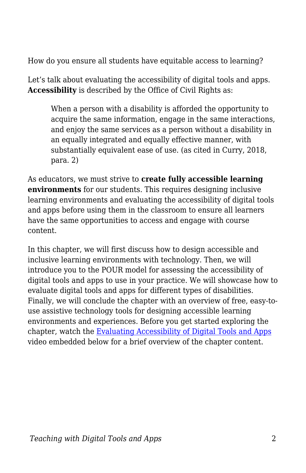How do you ensure all students have equitable access to learning?

Let's talk about evaluating the accessibility of digital tools and apps. **Accessibility** is described by the Office of Civil Rights as:

When a person with a disability is afforded the opportunity to acquire the same information, engage in the same interactions, and enjoy the same services as a person without a disability in an equally integrated and equally effective manner, with substantially equivalent ease of use. (as cited in Curry, 2018, para. 2)

As educators, we must strive to **create fully accessible learning environments** for our students. This requires designing inclusive learning environments and evaluating the accessibility of digital tools and apps before using them in the classroom to ensure all learners have the same opportunities to access and engage with course content.

In this chapter, we will first discuss how to design accessible and inclusive learning environments with technology. Then, we will introduce you to the POUR model for assessing the accessibility of digital tools and apps to use in your practice. We will showcase how to evaluate digital tools and apps for different types of disabilities. Finally, we will conclude the chapter with an overview of free, easy-touse assistive technology tools for designing accessible learning environments and experiences. Before you get started exploring the chapter, watch the [Evaluating Accessibility of Digital Tools and Apps](https://www.youtube.com/watch?v=vVEvOGVKCdo) video embedded below for a brief overview of the chapter content.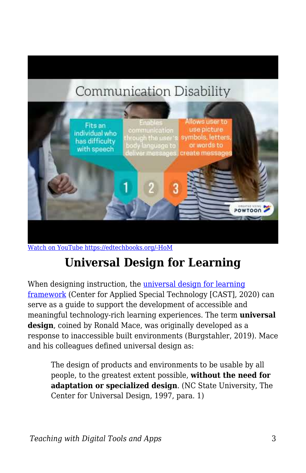# **Communication Disability**



[Watch on YouTube https://edtechbooks.org/-HoM](https://www.youtube.com/embed/vVEvOGVKCdo?autoplay=1&rel=0&showinfo=0&modestbranding=1)

# **Universal Design for Learning**

When designing instruction, the [universal design for learning](http://udlguidelines.cast.org/) [framework](http://udlguidelines.cast.org/) (Center for Applied Special Technology [CAST], 2020) can serve as a guide to support the development of accessible and meaningful technology-rich learning experiences. The term **universal design**, coined by Ronald Mace, was originally developed as a response to inaccessible built environments (Burgstahler, 2019). Mace and his colleagues defined universal design as:

The design of products and environments to be usable by all people, to the greatest extent possible, **without the need for adaptation or specialized design**. (NC State University, The Center for Universal Design, 1997, para. 1)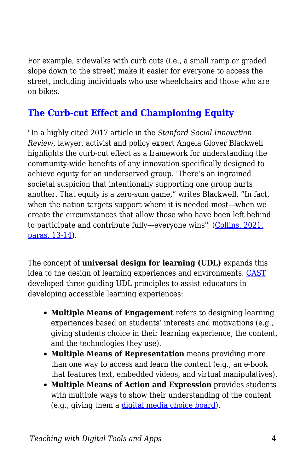For example, sidewalks with curb cuts (i.e., a small ramp or graded slope down to the street) make it easier for everyone to access the street, including individuals who use wheelchairs and those who are on bikes.

#### **[The Curb-cut Effect and Championing Equity](https://www.learningforjustice.org/magazine/fall-2021/the-curbcut-effect-and-championing-equity)**

"In a highly cited 2017 article in the *Stanford Social Innovation Review*, lawyer, activist and policy expert Angela Glover Blackwell highlights the curb-cut effect as a framework for understanding the community-wide benefits of any innovation specifically designed to achieve equity for an underserved group. 'There's an ingrained societal suspicion that intentionally supporting one group hurts another. That equity is a zero-sum game," writes Blackwell. "In fact, when the nation targets support where it is needed most—when we create the circumstances that allow those who have been left behind to participate and contribute fully—everyone wins'" [\(Collins, 2021,](https://www.learningforjustice.org/magazine/fall-2021/the-curbcut-effect-and-championing-equity) [paras. 13-14](https://www.learningforjustice.org/magazine/fall-2021/the-curbcut-effect-and-championing-equity)).

The concept of **universal design for learning (UDL)** expands this idea to the design of learning experiences and environments. [CAST](http://www.cast.org/our-work/about-udl.html) developed three guiding UDL principles to assist educators in developing accessible learning experiences:

- **Multiple Means of Engagement** refers to designing learning experiences based on students' interests and motivations (e.g., giving students choice in their learning experience, the content, and the technologies they use).
- **Multiple Means of Representation** means providing more than one way to access and learn the content (e.g., an e-book that features text, embedded videos, and virtual manipulatives).
- **Multiple Means of Action and Expression** provides students with multiple ways to show their understanding of the content (e.g., giving them a [digital media choice board](https://docs.google.com/document/d/1xUBTHrkZD7qeZrR06OxXaXut5bnCNOxkWh0TLtLeff0/edit?usp%3Dsharing)).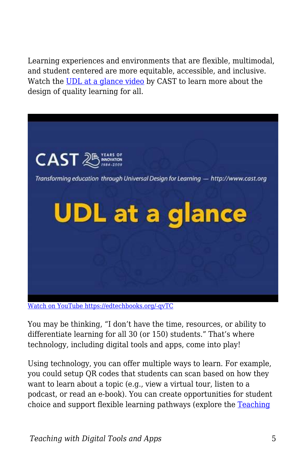Learning experiences and environments that are flexible, multimodal, and student centered are more equitable, accessible, and inclusive. Watch the [UDL at a glance video](https://www.youtube.com/watch?v=bDvKnY0g6e4&feature=youtu.be) by CAST to learn more about the design of quality learning for all.



[Watch on YouTube https://edtechbooks.org/-qvTC](https://www.youtube.com/embed/bDvKnY0g6e4?autoplay=1&rel=0&showinfo=0&modestbranding=1)

You may be thinking, "I don't have the time, resources, or ability to differentiate learning for all 30 (or 150) students." That's where technology, including digital tools and apps, come into play!

Using technology, you can offer multiple ways to learn. For example, you could setup QR codes that students can scan based on how they want to learn about a topic (e.g., view a virtual tour, listen to a podcast, or read an e-book). You can create opportunities for student choice and support flexible learning pathways (explore the [Teaching](https://edtechbooks.org/digitaltoolsapps/teachingwithdigital)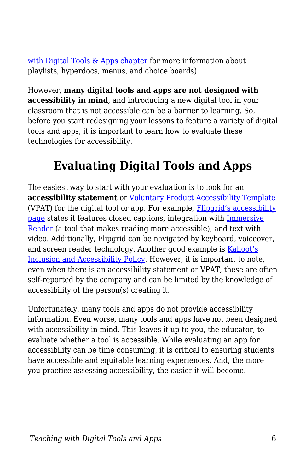[with Digital Tools & Apps chapter](https://edtechbooks.org/digitaltoolsapps/teachingwithdigital) for more information about playlists, hyperdocs, menus, and choice boards).

However, **many digital tools and apps are not designed with accessibility in mind**, and introducing a new digital tool in your classroom that is not accessible can be a barrier to learning. So, before you start redesigning your lessons to feature a variety of digital tools and apps, it is important to learn how to evaluate these technologies for accessibility.

# **Evaluating Digital Tools and Apps**

The easiest way to start with your evaluation is to look for an **accessibility statement** or [Voluntary Product Accessibility Template](https://accessibility.oit.ncsu.edu/it-accessibility-at-nc-state/developers/accessibility-handbook/overview-understanding-the-nature-of-what-is-required-to-design-accessibly/voluntary-product-accessibility-template-vpat/) (VPAT) for the digital tool or app. For example, [Flipgrid's accessibility](https://help.flipgrid.com/hc/en-us/articles/115004848574-Flipgrid-and-Accessibility) [page](https://help.flipgrid.com/hc/en-us/articles/115004848574-Flipgrid-and-Accessibility) states it features closed captions, integration with [Immersive](https://www.onenote.com/learningtools) [Reader](https://www.onenote.com/learningtools) (a tool that makes reading more accessible), and text with video. Additionally, Flipgrid can be navigated by keyboard, voiceover, and screen reader technology. Another good example is [Kahoot's](https://kahoot.com/accessibility-policy/) [Inclusion and Accessibility Policy.](https://kahoot.com/accessibility-policy/) However, it is important to note, even when there is an accessibility statement or VPAT, these are often self-reported by the company and can be limited by the knowledge of accessibility of the person(s) creating it.

Unfortunately, many tools and apps do not provide accessibility information. Even worse, many tools and apps have not been designed with accessibility in mind. This leaves it up to you, the educator, to evaluate whether a tool is accessible. While evaluating an app for accessibility can be time consuming, it is critical to ensuring students have accessible and equitable learning experiences. And, the more you practice assessing accessibility, the easier it will become.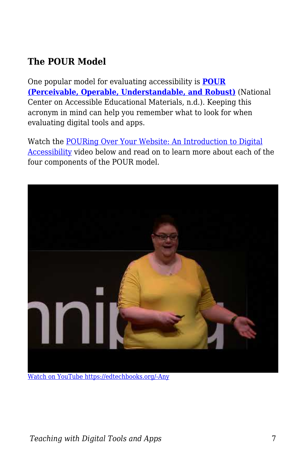### **The POUR Model**

One popular model for evaluating accessibility is **[POUR](http://aem.cast.org/creating/designing-for-accessibility-pour.html) [\(Perceivable, Operable, Understandable, and Robust\)](http://aem.cast.org/creating/designing-for-accessibility-pour.html)** (National Center on Accessible Educational Materials, n.d.). Keeping this acronym in mind can help you remember what to look for when evaluating digital tools and apps.

Watch the [POURing Over Your Website: An Introduction to Digital](https://www.youtube.com/watch?v=O10GLNhf6_k) [Accessibility](https://www.youtube.com/watch?v=O10GLNhf6_k) video below and read on to learn more about each of the four components of the POUR model.



[Watch on YouTube https://edtechbooks.org/-Any](https://www.youtube.com/embed/O10GLNhf6_k?autoplay=1&rel=0&showinfo=0&modestbranding=1)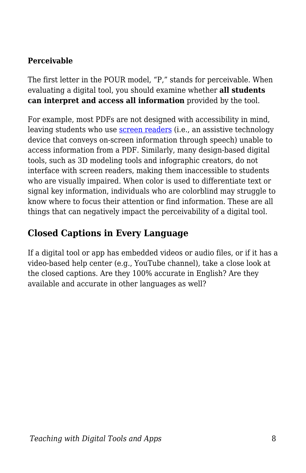#### **Perceivable**

The first letter in the POUR model, "P," stands for perceivable. When evaluating a digital tool, you should examine whether **all students can interpret and access all information** provided by the tool.

For example, most PDFs are not designed with accessibility in mind, leaving students who use [screen readers](https://www.nomensa.com/blog/2005/what-screen-reader) (i.e., an assistive technology device that conveys on-screen information through speech) unable to access information from a PDF. Similarly, many design-based digital tools, such as 3D modeling tools and infographic creators, do not interface with screen readers, making them inaccessible to students who are visually impaired. When color is used to differentiate text or signal key information, individuals who are colorblind may struggle to know where to focus their attention or find information. These are all things that can negatively impact the perceivability of a digital tool.

#### **Closed Captions in Every Language**

If a digital tool or app has embedded videos or audio files, or if it has a video-based help center (e.g., YouTube channel), take a close look at the closed captions. Are they 100% accurate in English? Are they available and accurate in other languages as well?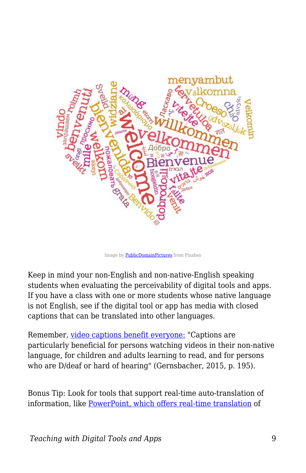

Image by **PublicDomainPictures** from Pixabay

Keep in mind your non-English and non-native-English speaking students when evaluating the perceivability of digital tools and apps. If you have a class with one or more students whose native language is not English, see if the digital tool or app has media with closed captions that can be translated into other languages.

Remember, [video captions benefit everyone:](https://www.ncbi.nlm.nih.gov/pmc/articles/PMC5214590/) "Captions are particularly beneficial for persons watching videos in their non-native language, for children and adults learning to read, and for persons who are D/deaf or hard of hearing" (Gernsbacher, 2015, p. 195).

Bonus Tip: Look for tools that support real-time auto-translation of information, like [PowerPoint, which offers real-time translation](https://creativepro.com/live-subtitles-and-real-time-translation-in-powerpoint/) of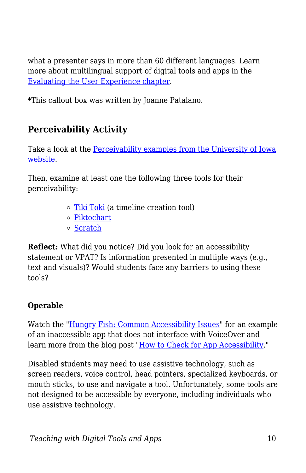what a presenter says in more than 60 different languages. Learn more about multilingual support of digital tools and apps in the [Evaluating the User Experience chapter.](https://edtechbooks.org/digitaltoolsapps/evaluatingUX#h.3znysh7)

\*This callout box was written by Joanne Patalano.

### **Perceivability Activity**

Take a look at the [Perceivability examples from the University of Iowa](https://uiowa.instructure.com/courses/40/pages/pour-perceivable) [website](https://uiowa.instructure.com/courses/40/pages/pour-perceivable).

Then, examine at least one the following three tools for their perceivability:

- o [Tiki Toki](https://www.tiki-toki.com/) (a timeline creation tool)
- [Piktochart](https://piktochart.com/)
- o [Scratch](https://scratch.mit.edu/)

**Reflect:** What did you notice? Did you look for an accessibility statement or VPAT? Is information presented in multiple ways (e.g., text and visuals)? Would students face any barriers to using these tools?

#### **Operable**

Watch the "[Hungry Fish: Common Accessibility Issues](https://www.youtube.com/watch?v=rnfmPuVa8vQ&t=130s)" for an example of an inaccessible app that does not interface with VoiceOver and learn more from the blog post ["How to Check for App Accessibility](https://www.perkinselearning.org/technology/blog/how-check-app-accessibility)."

Disabled students may need to use assistive technology, such as screen readers, voice control, head pointers, specialized keyboards, or mouth sticks, to use and navigate a tool. Unfortunately, some tools are not designed to be accessible by everyone, including individuals who use assistive technology.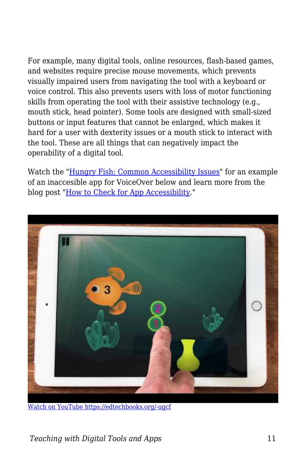For example, many digital tools, online resources, flash-based games, and websites require precise mouse movements, which prevents visually impaired users from navigating the tool with a keyboard or voice control. This also prevents users with loss of motor functioning skills from operating the tool with their assistive technology (e.g., mouth stick, head pointer). Some tools are designed with small-sized buttons or input features that cannot be enlarged, which makes it hard for a user with dexterity issues or a mouth stick to interact with the tool. These are all things that can negatively impact the operability of a digital tool.

Watch the "[Hungry Fish: Common Accessibility Issues](https://www.youtube.com/watch?v=rnfmPuVa8vQ&t=130s)" for an example of an inaccesible app for VoiceOver below and learn more from the blog post ["How to Check for App Accessibility](https://www.perkinselearning.org/technology/blog/how-check-app-accessibility)."



[Watch on YouTube https://edtechbooks.org/-ugcf](https://www.youtube.com/embed/rnfmPuVa8vQ?autoplay=1&rel=0&showinfo=0&modestbranding=1)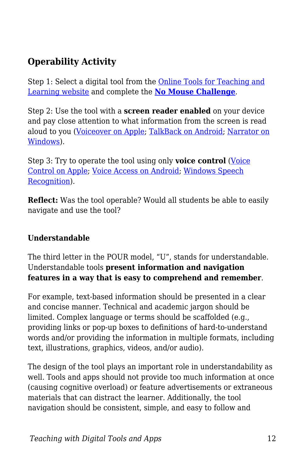### **Operability Activity**

Step 1: Select a digital tool from the [Online Tools for Teaching and](https://blogs.umass.edu/onlinetools/) [Learning website](https://blogs.umass.edu/onlinetools/) and complete the **[No Mouse Challenge](https://nomouse.org/)**.

Step 2: Use the tool with a **screen reader enabled** on your device and pay close attention to what information from the screen is read aloud to you ([Voiceover on Apple](https://support.apple.com/guide/iphone/turn-on-and-practice-voiceover-iph3e2e415f/ios); [TalkBack on Android](https://support.google.com/accessibility/android/answer/6007100?hl%3Den); [Narrator on](https://support.microsoft.com/en-us/help/22798/windows-10-complete-guide-to-narrator) [Windows](https://support.microsoft.com/en-us/help/22798/windows-10-complete-guide-to-narrator)).

Step 3: Try to operate the tool using only **voice control** ([Voice](https://support.apple.com/en-us/HT210417) [Control on Apple](https://support.apple.com/en-us/HT210417); [Voice Access on Android;](https://support.google.com/accessibility/android/answer/6151848?hl=en) [Windows Speech](https://www.laptopmag.com/articles/control-windows-10-voice) [Recognition\)](https://www.laptopmag.com/articles/control-windows-10-voice).

**Reflect:** Was the tool operable? Would all students be able to easily navigate and use the tool?

#### **Understandable**

The third letter in the POUR model, "U", stands for understandable. Understandable tools **present information and navigation features in a way that is easy to comprehend and remember**.

For example, text-based information should be presented in a clear and concise manner. Technical and academic jargon should be limited. Complex language or terms should be scaffolded (e.g., providing links or pop-up boxes to definitions of hard-to-understand words and/or providing the information in multiple formats, including text, illustrations, graphics, videos, and/or audio).

The design of the tool plays an important role in understandability as well. Tools and apps should not provide too much information at once (causing cognitive overload) or feature advertisements or extraneous materials that can distract the learner. Additionally, the tool navigation should be consistent, simple, and easy to follow and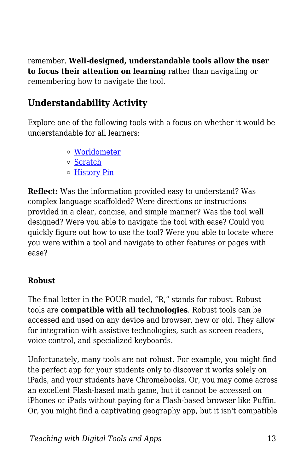remember. **Well-designed, understandable tools allow the user to focus their attention on learning** rather than navigating or remembering how to navigate the tool.

#### **Understandability Activity**

Explore one of the following tools with a focus on whether it would be understandable for all learners:

- [Worldometer](https://www.worldometers.info)
- o [Scratch](https://scratch.mit.edu)
- [History Pin](https://www.historypin.org/en/)

**Reflect:** Was the information provided easy to understand? Was complex language scaffolded? Were directions or instructions provided in a clear, concise, and simple manner? Was the tool well designed? Were you able to navigate the tool with ease? Could you quickly figure out how to use the tool? Were you able to locate where you were within a tool and navigate to other features or pages with ease?

#### **Robust**

The final letter in the POUR model, "R," stands for robust. Robust tools are **compatible with all technologies**. Robust tools can be accessed and used on any device and browser, new or old. They allow for integration with assistive technologies, such as screen readers, voice control, and specialized keyboards.

Unfortunately, many tools are not robust. For example, you might find the perfect app for your students only to discover it works solely on iPads, and your students have Chromebooks. Or, you may come across an excellent Flash-based math game, but it cannot be accessed on iPhones or iPads without paying for a Flash-based browser like Puffin. Or, you might find a captivating geography app, but it isn't compatible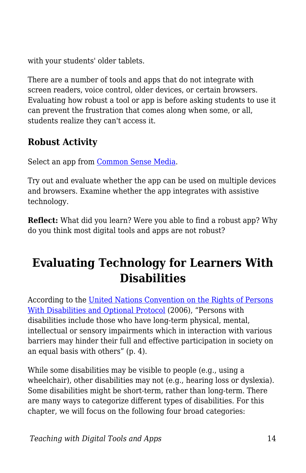with your students' older tablets.

There are a number of tools and apps that do not integrate with screen readers, voice control, older devices, or certain browsers. Evaluating how robust a tool or app is before asking students to use it can prevent the frustration that comes along when some, or all, students realize they can't access it.

### **Robust Activity**

Select an app from [Common Sense Media](https://www.commonsensemedia.org/app-reviews).

Try out and evaluate whether the app can be used on multiple devices and browsers. Examine whether the app integrates with assistive technology.

**Reflect:** What did you learn? Were you able to find a robust app? Why do you think most digital tools and apps are not robust?

# **Evaluating Technology for Learners With Disabilities**

According to the [United Nations Convention on the Rights of Persons](https://www.un.org/disabilities/documents/convention/convoptprot-e.pdf) [With Disabilities and Optional Protocol](https://www.un.org/disabilities/documents/convention/convoptprot-e.pdf) (2006), "Persons with disabilities include those who have long-term physical, mental, intellectual or sensory impairments which in interaction with various barriers may hinder their full and effective participation in society on an equal basis with others" (p. 4).

While some disabilities may be visible to people (e.g., using a wheelchair), other disabilities may not (e.g., hearing loss or dyslexia). Some disabilities might be short-term, rather than long-term. There are many ways to categorize different types of disabilities. For this chapter, we will focus on the following four broad categories:

*Teaching with Digital Tools and Apps* 14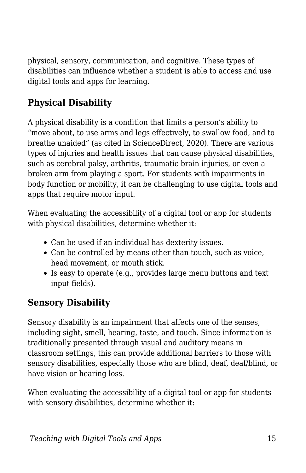physical, sensory, communication, and cognitive. These types of disabilities can influence whether a student is able to access and use digital tools and apps for learning.

### **Physical Disability**

A physical disability is a condition that limits a person's ability to "move about, to use arms and legs effectively, to swallow food, and to breathe unaided" (as cited in ScienceDirect, 2020). There are various types of injuries and health issues that can cause physical disabilities, such as cerebral palsy, arthritis, traumatic brain injuries, or even a broken arm from playing a sport. For students with impairments in body function or mobility, it can be challenging to use digital tools and apps that require motor input.

When evaluating the accessibility of a digital tool or app for students with physical disabilities, determine whether it:

- Can be used if an individual has dexterity issues.
- Can be controlled by means other than touch, such as voice, head movement, or mouth stick.
- Is easy to operate (e.g., provides large menu buttons and text input fields).

#### **Sensory Disability**

Sensory disability is an impairment that affects one of the senses, including sight, smell, hearing, taste, and touch. Since information is traditionally presented through visual and auditory means in classroom settings, this can provide additional barriers to those with sensory disabilities, especially those who are blind, deaf, deaf/blind, or have vision or hearing loss.

When evaluating the accessibility of a digital tool or app for students with sensory disabilities, determine whether it: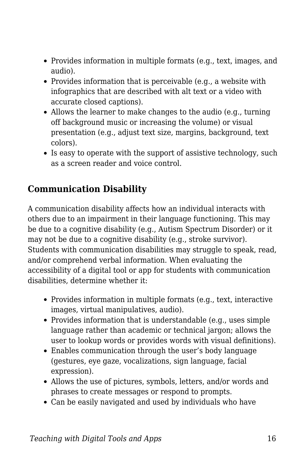- Provides information in multiple formats (e.g., text, images, and audio).
- Provides information that is perceivable (e.g., a website with infographics that are described with alt text or a video with accurate closed captions).
- Allows the learner to make changes to the audio (e.g., turning off background music or increasing the volume) or visual presentation (e.g., adjust text size, margins, background, text colors).
- Is easy to operate with the support of assistive technology, such as a screen reader and voice control.

#### **Communication Disability**

A communication disability affects how an individual interacts with others due to an impairment in their language functioning. This may be due to a cognitive disability (e.g., Autism Spectrum Disorder) or it may not be due to a cognitive disability (e.g., stroke survivor). Students with communication disabilities may struggle to speak, read, and/or comprehend verbal information. When evaluating the accessibility of a digital tool or app for students with communication disabilities, determine whether it:

- Provides information in multiple formats (e.g., text, interactive images, virtual manipulatives, audio).
- Provides information that is understandable (e.g., uses simple language rather than academic or technical jargon; allows the user to lookup words or provides words with visual definitions).
- Enables communication through the user's body language (gestures, eye gaze, vocalizations, sign language, facial expression).
- Allows the use of pictures, symbols, letters, and/or words and phrases to create messages or respond to prompts.
- Can be easily navigated and used by individuals who have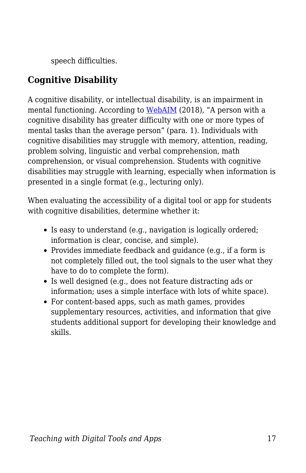speech difficulties.

## **Cognitive Disability**

A cognitive disability, or intellectual disability, is an impairment in mental functioning. According to [WebAIM](https://webaim.org/articles/cognitive/) (2018), "A person with a cognitive disability has greater difficulty with one or more types of mental tasks than the average person" (para. 1). Individuals with cognitive disabilities may struggle with memory, attention, reading, problem solving, linguistic and verbal comprehension, math comprehension, or visual comprehension. Students with cognitive disabilities may struggle with learning, especially when information is presented in a single format (e.g., lecturing only).

When evaluating the accessibility of a digital tool or app for students with cognitive disabilities, determine whether it:

- Is easy to understand (e.g., navigation is logically ordered; information is clear, concise, and simple).
- Provides immediate feedback and guidance (e.g., if a form is not completely filled out, the tool signals to the user what they have to do to complete the form).
- Is well designed (e.g., does not feature distracting ads or information; uses a simple interface with lots of white space).
- For content-based apps, such as math games, provides supplementary resources, activities, and information that give students additional support for developing their knowledge and skills.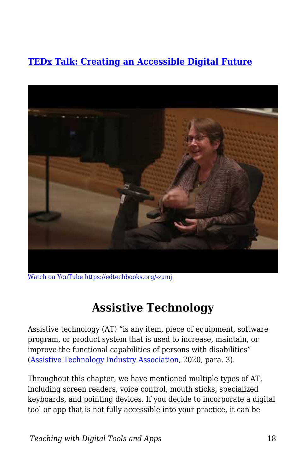### **[TEDx Talk: Creating an Accessible Digital Future](https://www.youtube.com/watch?v=Wb2X9kYEvXc)**



[Watch on YouTube https://edtechbooks.org/-zumj](https://www.youtube.com/embed/Wb2X9kYEvXc?autoplay=1&rel=0&showinfo=0&modestbranding=1)

## **Assistive Technology**

Assistive technology (AT) "is any item, piece of equipment, software program, or product system that is used to increase, maintain, or improve the functional capabilities of persons with disabilities" ([Assistive Technology Industry Association](https://www.atia.org/at-resources/what-is-at/), 2020, para. 3).

Throughout this chapter, we have mentioned multiple types of AT, including screen readers, voice control, mouth sticks, specialized keyboards, and pointing devices. If you decide to incorporate a digital tool or app that is not fully accessible into your practice, it can be

*Teaching with Digital Tools and Apps* 18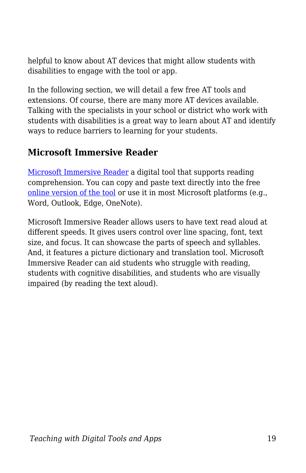helpful to know about AT devices that might allow students with disabilities to engage with the tool or app.

In the following section, we will detail a few free AT tools and extensions. Of course, there are many more AT devices available. Talking with the specialists in your school or district who work with students with disabilities is a great way to learn about AT and identify ways to reduce barriers to learning for your students.

#### **Microsoft Immersive Reader**

[Microsoft Immersive Reader](https://www.onenote.com/learningtools) a digital tool that supports reading comprehension. You can copy and paste text directly into the free [online version of the tool](https://www.onenote.com/learningtools) or use it in most Microsoft platforms (e.g., Word, Outlook, Edge, OneNote).

Microsoft Immersive Reader allows users to have text read aloud at different speeds. It gives users control over line spacing, font, text size, and focus. It can showcase the parts of speech and syllables. And, it features a picture dictionary and translation tool. Microsoft Immersive Reader can aid students who struggle with reading, students with cognitive disabilities, and students who are visually impaired (by reading the text aloud).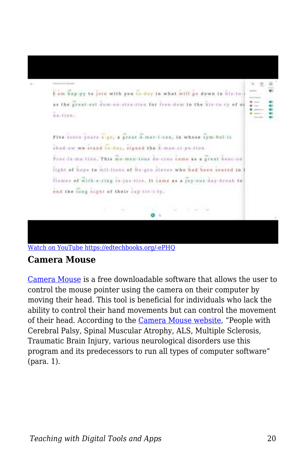

[Watch on YouTube https://edtechbooks.org/-ePHQ](https://www.youtube.com/embed/oZ29qx68C_4?autoplay=1&rel=0&showinfo=0&modestbranding=1)

#### **Camera Mouse**

[Camera Mouse](http://www.cameramouse.org/) is a free downloadable software that allows the user to control the mouse pointer using the camera on their computer by moving their head. This tool is beneficial for individuals who lack the ability to control their hand movements but can control the movement of their head. According to the [Camera Mouse website](http://www.cameramouse.org/about.html), "People with Cerebral Palsy, Spinal Muscular Atrophy, ALS, Multiple Sclerosis, Traumatic Brain Injury, various neurological disorders use this program and its predecessors to run all types of computer software" (para. 1).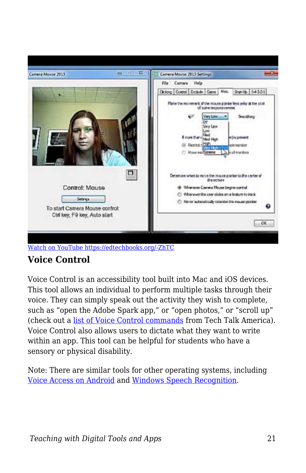

[Watch on YouTube https://edtechbooks.org/-ZhTC](https://www.youtube.com/embed/x-y-7Cvm0k4?autoplay=1&rel=0&showinfo=0&modestbranding=1)

## **Voice Control**

Voice Control is an accessibility tool built into Mac and iOS devices. This tool allows an individual to perform multiple tasks through their voice. They can simply speak out the activity they wish to complete, such as "open the Adobe Spark app," or "open photos," or "scroll up" (check out a [list of Voice Control commands](https://drive.google.com/file/d/1y3MMAYSJXZksSnUt1qYp2_NRUVJ7YmlX/view) from Tech Talk America). Voice Control also allows users to dictate what they want to write within an app. This tool can be helpful for students who have a sensory or physical disability.

Note: There are similar tools for other operating systems, including [Voice Access on Android](https://support.google.com/accessibility/android/answer/6151848?hl=en) and [Windows Speech Recognition](https://www.laptopmag.com/articles/control-windows-10-voice).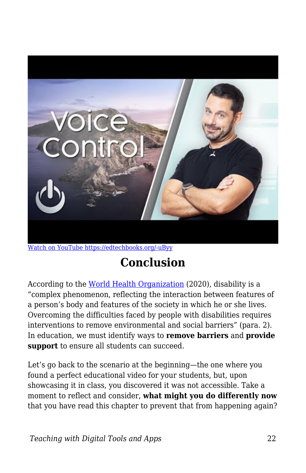

[Watch on YouTube https://edtechbooks.org/-uByy](https://www.youtube.com/embed/6y6MQq-Jtz0?autoplay=1&rel=0&showinfo=0&modestbranding=1)

# **Conclusion**

According to the [World Health Organization](https://www.who.int/topics/disabilities/en/) (2020), disability is a "complex phenomenon, reflecting the interaction between features of a person's body and features of the society in which he or she lives. Overcoming the difficulties faced by people with disabilities requires interventions to remove environmental and social barriers" (para. 2). In education, we must identify ways to **remove barriers** and **provide support** to ensure all students can succeed.

Let's go back to the scenario at the beginning—the one where you found a perfect educational video for your students, but, upon showcasing it in class, you discovered it was not accessible. Take a moment to reflect and consider, **what might you do differently now** that you have read this chapter to prevent that from happening again?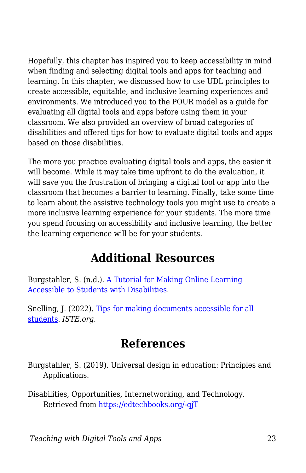Hopefully, this chapter has inspired you to keep accessibility in mind when finding and selecting digital tools and apps for teaching and learning. In this chapter, we discussed how to use UDL principles to create accessible, equitable, and inclusive learning experiences and environments. We introduced you to the POUR model as a guide for evaluating all digital tools and apps before using them in your classroom. We also provided an overview of broad categories of disabilities and offered tips for how to evaluate digital tools and apps based on those disabilities.

The more you practice evaluating digital tools and apps, the easier it will become. While it may take time upfront to do the evaluation, it will save you the frustration of bringing a digital tool or app into the classroom that becomes a barrier to learning. Finally, take some time to learn about the assistive technology tools you might use to create a more inclusive learning experience for your students. The more time you spend focusing on accessibility and inclusive learning, the better the learning experience will be for your students.

## **Additional Resources**

Burgstahler, S. (n.d.). [A Tutorial for Making Online Learning](https://www.washington.edu/doit/tutorial-making-online-learning-accessible-students-disabilities) [Accessible to Students with Disabilities.](https://www.washington.edu/doit/tutorial-making-online-learning-accessible-students-disabilities)

Snelling, J. (2022). [Tips for making documents accessible for all](https://www.iste.org/explore/professional-development/tips-making-documents-accessible-all-students) [students](https://www.iste.org/explore/professional-development/tips-making-documents-accessible-all-students). *ISTE.org.*

## **References**

- Burgstahler, S. (2019). Universal design in education: Principles and Applications.
- Disabilities, Opportunities, Internetworking, and Technology. Retrieved from [https://edtechbooks.org/-qjT](https://www.washington.edu/doit/universal-design-education-principles-and-applications)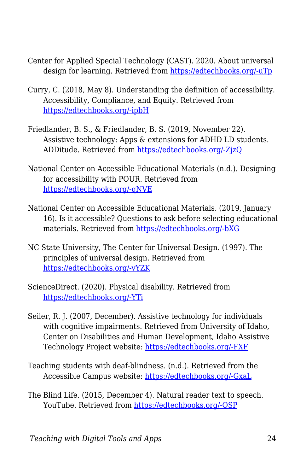- Center for Applied Special Technology (CAST). 2020. About universal design for learning. Retrieved from [https://edtechbooks.org/-uTp](http://www.cast.org/our-work/about-udl.html)
- Curry, C. (2018, May 8). Understanding the definition of accessibility. Accessibility, Compliance, and Equity. Retrieved from [https://edtechbooks.org/-ipbH](https://ace-ed.org/understanding-the-definition-of-accessibility/)
- Friedlander, B. S., & Friedlander, B. S. (2019, November 22). Assistive technology: Apps & extensions for ADHD LD students. ADDitude. Retrieved from [https://edtechbooks.org/-ZjzQ](https://www.additudemag.com/assistive-technology-for-students/)
- National Center on Accessible Educational Materials (n.d.). Designing for accessibility with POUR. Retrieved from [https://edtechbooks.org/-qNVE](http://aem.cast.org/creating/designing-for-accessibility-pour.html)
- National Center on Accessible Educational Materials. (2019, January 16). Is it accessible? Questions to ask before selecting educational materials. Retrieved from [https://edtechbooks.org/-bXG](http://aem.cast.org/navigating/is-it-accessible-questions-to-ask.html)
- NC State University, The Center for Universal Design. (1997). The principles of universal design. Retrieved from [https://edtechbooks.org/-vYZK](https://projects.ncsu.edu/ncsu/design/cud/about_ud/udprinciplestext.htm)
- ScienceDirect. (2020). Physical disability. Retrieved from [https://edtechbooks.org/-YTi](https://www.sciencedirect.com/topics/medicine-and-dentistry/physical-disability)
- Seiler, R. J. (2007, December). Assistive technology for individuals with cognitive impairments. Retrieved from University of Idaho, Center on Disabilities and Human Development, Idaho Assistive Technology Project website: [https://edtechbooks.org/-FXF](http://idahoat.org/Portals/60/Documents/Services/Resources/AT_CognitiveImpairmentsHandbook.pdf)
- Teaching students with deaf-blindness. (n.d.). Retrieved from the Accessible Campus website: [https://edtechbooks.org/-GxaL](http://www.accessiblecampus.ca/tools-resources/educators-tool-kit/teaching-tips/teaching-students-with-deaf-blindness/)
- The Blind Life. (2015, December 4). Natural reader text to speech. YouTube. Retrieved from [https://edtechbooks.org/-QSP](https://www.youtube.com/watch?v%3DqlHXYwt1Zi8)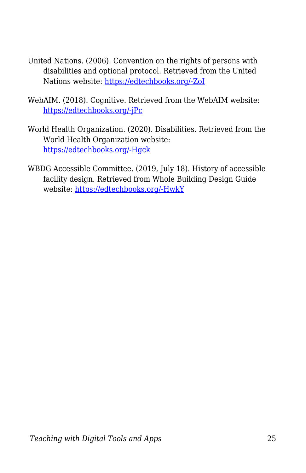- United Nations. (2006). Convention on the rights of persons with disabilities and optional protocol. Retrieved from the United Nations website: [https://edtechbooks.org/-ZoI](https://www.un.org/disabilities/documents/convention/convoptprot-e.pdf)
- WebAIM. (2018). Cognitive. Retrieved from the WebAIM website: [https://edtechbooks.org/-jPc](https://webaim.org/articles/cognitive/)
- World Health Organization. (2020). Disabilities. Retrieved from the World Health Organization website: [https://edtechbooks.org/-Hgck](https://www.who.int/topics/disabilities/en/&sa=D&ust=1586018894355000)
- WBDG Accessible Committee. (2019, July 18). History of accessible facility design. Retrieved from Whole Building Design Guide website: [https://edtechbooks.org/-HwkY](https://www.wbdg.org/design-objectives/accessible/history-accessible-facility-design&sa=D&ust=1586018894356000)